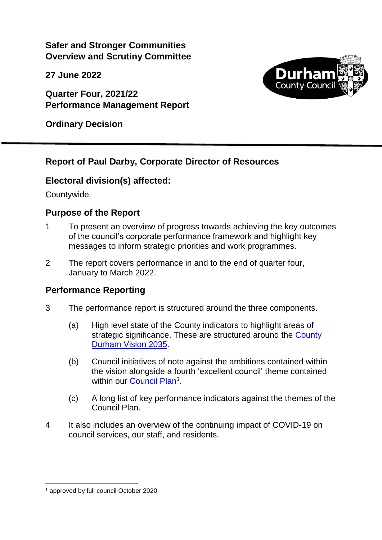**Safer and Stronger Communities Overview and Scrutiny Committee**

**27 June 2022**

**Quarter Four, 2021/22 Performance Management Report** 



**Ordinary Decision**

### **Report of Paul Darby, Corporate Director of Resources**

#### **Electoral division(s) affected:**

Countywide.

#### **Purpose of the Report**

- 1 To present an overview of progress towards achieving the key outcomes of the council's corporate performance framework and highlight key messages to inform strategic priorities and work programmes.
- 2 The report covers performance in and to the end of quarter four, January to March 2022.

#### **Performance Reporting**

- 3 The performance report is structured around the three components.
	- (a) High level state of the County indicators to highlight areas of strategic significance. These are structured around the County [Durham Vision 2035.](https://www.durham.gov.uk/vision)
	- (b) Council initiatives of note against the ambitions contained within the vision alongside a fourth 'excellent council' theme contained within our **[Council Plan](http://www.durham.gov.uk/article/2366/Council-Plan-and-service-plans)<sup>1</sup>**.
	- (c) A long list of key performance indicators against the themes of the Council Plan.
- 4 It also includes an overview of the continuing impact of COVID-19 on council services, our staff, and residents.

 <sup>1</sup> approved by full council October 2020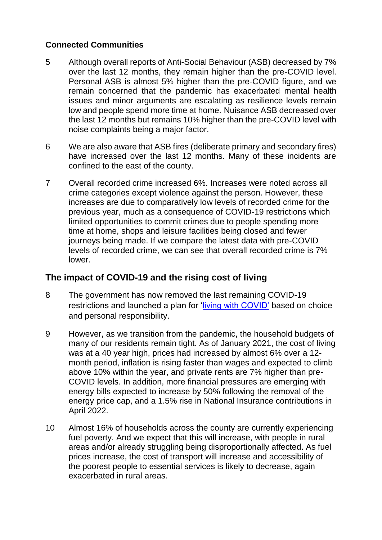#### **Connected Communities**

- 5 Although overall reports of Anti-Social Behaviour (ASB) decreased by 7% over the last 12 months, they remain higher than the pre-COVID level. Personal ASB is almost 5% higher than the pre-COVID figure, and we remain concerned that the pandemic has exacerbated mental health issues and minor arguments are escalating as resilience levels remain low and people spend more time at home. Nuisance ASB decreased over the last 12 months but remains 10% higher than the pre-COVID level with noise complaints being a major factor.
- 6 We are also aware that ASB fires (deliberate primary and secondary fires) have increased over the last 12 months. Many of these incidents are confined to the east of the county.
- 7 Overall recorded crime increased 6%. Increases were noted across all crime categories except violence against the person. However, these increases are due to comparatively low levels of recorded crime for the previous year, much as a consequence of COVID-19 restrictions which limited opportunities to commit crimes due to people spending more time at home, shops and leisure facilities being closed and fewer journeys being made. If we compare the latest data with pre-COVID levels of recorded crime, we can see that overall recorded crime is 7% lower.

#### **The impact of COVID-19 and the rising cost of living**

- 8 The government has now removed the last remaining COVID-19 restrictions and launched a plan for ['living with COVID'](https://www.gov.uk/government/publications/covid-19-response-living-with-covid-19/covid-19-response-living-with-covid-19) based on choice and personal responsibility.
- 9 However, as we transition from the pandemic, the household budgets of many of our residents remain tight. As of January 2021, the cost of living was at a 40 year high, prices had increased by almost 6% over a 12 month period, inflation is rising faster than wages and expected to climb above 10% within the year, and private rents are 7% higher than pre-COVID levels. In addition, more financial pressures are emerging with energy bills expected to increase by 50% following the removal of the energy price cap, and a 1.5% rise in National Insurance contributions in April 2022.
- 10 Almost 16% of households across the county are currently experiencing fuel poverty. And we expect that this will increase, with people in rural areas and/or already struggling being disproportionally affected. As fuel prices increase, the cost of transport will increase and accessibility of the poorest people to essential services is likely to decrease, again exacerbated in rural areas.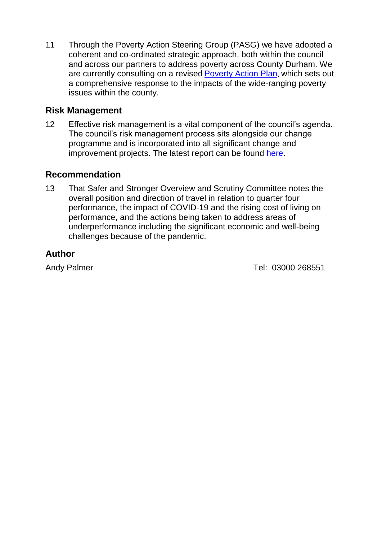11 Through the Poverty Action Steering Group (PASG) we have adopted a coherent and co-ordinated strategic approach, both within the council and across our partners to address poverty across County Durham. We are currently consulting on a revised [Poverty Action Plan](https://democracy.durham.gov.uk/documents/s153929/Cabinet%206%20April%202022%20-%20Poverty%20Strategy%20and%20Action%20Plan%20Review.pdf), which sets out a comprehensive response to the impacts of the wide-ranging poverty issues within the county.

#### **Risk Management**

12 Effective risk management is a vital component of the council's agenda. The council's risk management process sits alongside our change programme and is incorporated into all significant change and improvement projects. The latest report can be found [here.](http://mgov:9070/ieListDocuments.aspx?CId=155&MId=12997&Ver=4)

#### **Recommendation**

13 That Safer and Stronger Overview and Scrutiny Committee notes the overall position and direction of travel in relation to quarter four performance, the impact of COVID-19 and the rising cost of living on performance, and the actions being taken to address areas of underperformance including the significant economic and well-being challenges because of the pandemic.

### **Author**

Andy Palmer 2000 268551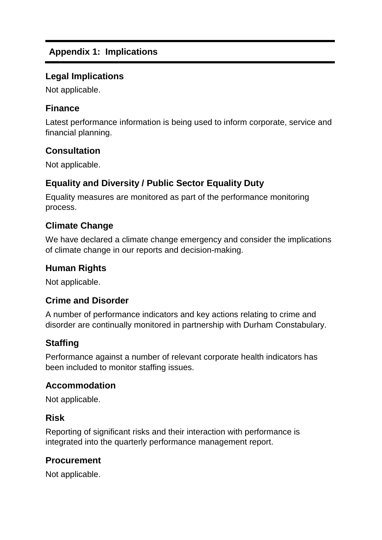# **Appendix 1: Implications**

### **Legal Implications**

Not applicable.

# **Finance**

Latest performance information is being used to inform corporate, service and financial planning.

# **Consultation**

Not applicable.

# **Equality and Diversity / Public Sector Equality Duty**

Equality measures are monitored as part of the performance monitoring process.

### **Climate Change**

We have declared a climate change emergency and consider the implications of climate change in our reports and decision-making.

#### **Human Rights**

Not applicable.

#### **Crime and Disorder**

A number of performance indicators and key actions relating to crime and disorder are continually monitored in partnership with Durham Constabulary.

# **Staffing**

Performance against a number of relevant corporate health indicators has been included to monitor staffing issues.

#### **Accommodation**

Not applicable.

#### **Risk**

Reporting of significant risks and their interaction with performance is integrated into the quarterly performance management report.

#### **Procurement**

Not applicable.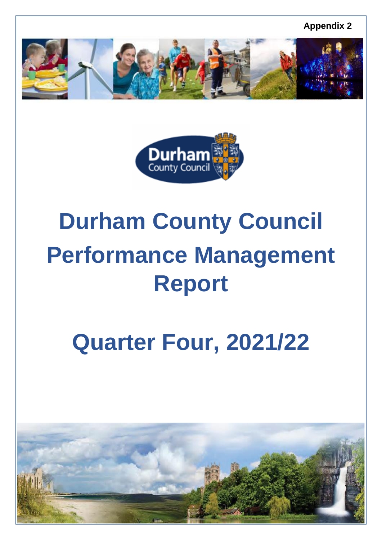**Appendix 2**





# **Durham County Council Performance Management Report**

# **Quarter Four, 2021/22**

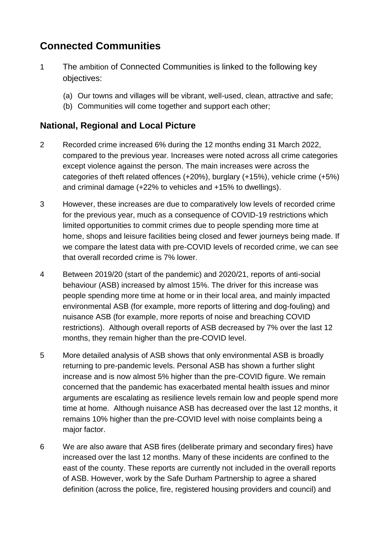# **Connected Communities**

- 1 The ambition of Connected Communities is linked to the following key objectives:
	- (a) Our towns and villages will be vibrant, well-used, clean, attractive and safe;
	- (b) Communities will come together and support each other;

### **National, Regional and Local Picture**

- 2 Recorded crime increased 6% during the 12 months ending 31 March 2022, compared to the previous year. Increases were noted across all crime categories except violence against the person. The main increases were across the categories of theft related offences (+20%), burglary (+15%), vehicle crime (+5%) and criminal damage (+22% to vehicles and +15% to dwellings).
- 3 However, these increases are due to comparatively low levels of recorded crime for the previous year, much as a consequence of COVID-19 restrictions which limited opportunities to commit crimes due to people spending more time at home, shops and leisure facilities being closed and fewer journeys being made. If we compare the latest data with pre-COVID levels of recorded crime, we can see that overall recorded crime is 7% lower.
- 4 Between 2019/20 (start of the pandemic) and 2020/21, reports of anti-social behaviour (ASB) increased by almost 15%. The driver for this increase was people spending more time at home or in their local area, and mainly impacted environmental ASB (for example, more reports of littering and dog-fouling) and nuisance ASB (for example, more reports of noise and breaching COVID restrictions). Although overall reports of ASB decreased by 7% over the last 12 months, they remain higher than the pre-COVID level.
- 5 More detailed analysis of ASB shows that only environmental ASB is broadly returning to pre-pandemic levels. Personal ASB has shown a further slight increase and is now almost 5% higher than the pre-COVID figure. We remain concerned that the pandemic has exacerbated mental health issues and minor arguments are escalating as resilience levels remain low and people spend more time at home. Although nuisance ASB has decreased over the last 12 months, it remains 10% higher than the pre-COVID level with noise complaints being a major factor.
- 6 We are also aware that ASB fires (deliberate primary and secondary fires) have increased over the last 12 months. Many of these incidents are confined to the east of the county. These reports are currently not included in the overall reports of ASB. However, work by the Safe Durham Partnership to agree a shared definition (across the police, fire, registered housing providers and council) and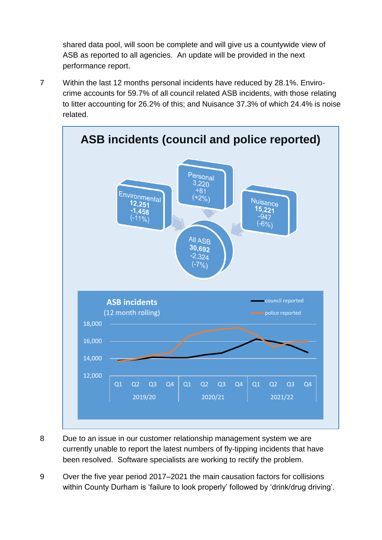shared data pool, will soon be complete and will give us a countywide view of ASB as reported to all agencies. An update will be provided in the next performance report.

7 Within the last 12 months personal incidents have reduced by 28.1%. Envirocrime accounts for 59.7% of all council related ASB incidents, with those relating to litter accounting for 26.2% of this; and Nuisance 37.3% of which 24.4% is noise related.



- 
- 8 Due to an issue in our customer relationship management system we are currently unable to report the latest numbers of fly-tipping incidents that have been resolved. Software specialists are working to rectify the problem.
- 9 Over the five year period 2017–2021 the main causation factors for collisions within County Durham is 'failure to look properly' followed by 'drink/drug driving'.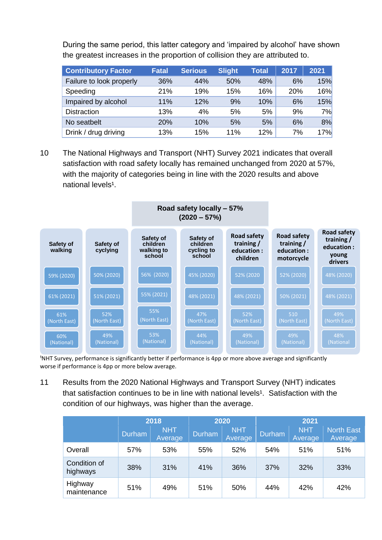During the same period, this latter category and 'impaired by alcohol' have shown the greatest increases in the proportion of collision they are attributed to.

| <b>Contributory Factor</b> | <b>Fatal</b> | <b>Serious</b> | <b>Slight</b> | <b>Total</b> | 2017 | 2021 |
|----------------------------|--------------|----------------|---------------|--------------|------|------|
| Failure to look properly   | 36%          | 44%            | 50%           | 48%          | 6%   | 15%  |
| Speeding                   | 21%          | 19%            | 15%           | 16%          | 20%  | 16%  |
| Impaired by alcohol        | 11%          | 12%            | 9%            | 10%          | 6%   | 15%  |
| <b>Distraction</b>         | 13%          | 4%             | 5%            | 5%           | 9%   | 7%   |
| No seatbelt                | 20%          | 10%            | 5%            | 5%           | 6%   | 8%   |
| Drink / drug driving       | 13%          | 15%            | 11%           | 12%          | 7%   | 17%  |

10 The National Highways and Transport (NHT) Survey 2021 indicates that overall satisfaction with road safety locally has remained unchanged from 2020 at 57%, with the majority of categories being in line with the 2020 results and above national levels<sup>1</sup>.



<sup>1</sup>NHT Survey, performance is significantly better if performance is 4pp or more above average and significantly worse if performance is 4pp or more below average.

11 Results from the 2020 National Highways and Transport Survey (NHT) indicates that satisfaction continues to be in line with national levels<sup>1</sup>. Satisfaction with the condition of our highways, was higher than the average.

|                          |        | 2018                  |        | 2020                  | 2021          |                       |                              |  |  |
|--------------------------|--------|-----------------------|--------|-----------------------|---------------|-----------------------|------------------------------|--|--|
|                          | Durham | <b>NHT</b><br>Average | Durham | <b>NHT</b><br>Average | <b>Durham</b> | <b>NHT</b><br>Average | <b>North East</b><br>Average |  |  |
| Overall                  | 57%    | 53%                   | 55%    | 52%                   | 54%           | 51%                   | 51%                          |  |  |
| Condition of<br>highways | 38%    | 31%                   | 41%    | 36%                   | 37%           | 32%                   | 33%                          |  |  |
| Highway<br>maintenance   | 51%    | 49%                   | 51%    | 50%                   | 44%           | 42%                   | 42%                          |  |  |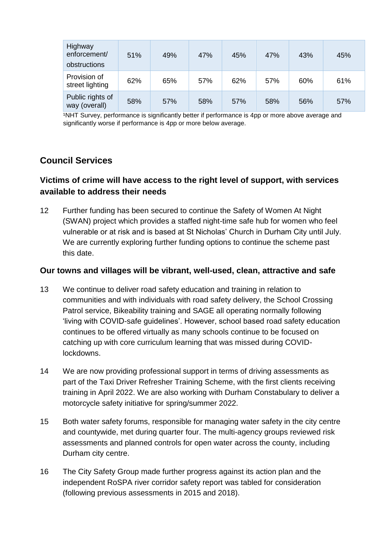| Highway<br>enforcement/<br>obstructions | 51% | 49% | 47% | 45% | 47% | 43% | 45% |
|-----------------------------------------|-----|-----|-----|-----|-----|-----|-----|
| Provision of<br>street lighting         | 62% | 65% | 57% | 62% | 57% | 60% | 61% |
| Public rights of<br>way (overall)       | 58% | 57% | 58% | 57% | 58% | 56% | 57% |

<sup>1</sup>NHT Survey, performance is significantly better if performance is 4pp or more above average and significantly worse if performance is 4pp or more below average.

# **Council Services**

#### **Victims of crime will have access to the right level of support, with services available to address their needs**

12 Further funding has been secured to continue the Safety of Women At Night (SWAN) project which provides a staffed night-time safe hub for women who feel vulnerable or at risk and is based at St Nicholas' Church in Durham City until July. We are currently exploring further funding options to continue the scheme past this date.

#### **Our towns and villages will be vibrant, well-used, clean, attractive and safe**

- 13 We continue to deliver road safety education and training in relation to communities and with individuals with road safety delivery, the School Crossing Patrol service, Bikeability training and SAGE all operating normally following 'living with COVID-safe guidelines'. However, school based road safety education continues to be offered virtually as many schools continue to be focused on catching up with core curriculum learning that was missed during COVIDlockdowns.
- 14 We are now providing professional support in terms of driving assessments as part of the Taxi Driver Refresher Training Scheme, with the first clients receiving training in April 2022. We are also working with Durham Constabulary to deliver a motorcycle safety initiative for spring/summer 2022.
- 15 Both water safety forums, responsible for managing water safety in the city centre and countywide, met during quarter four. The multi-agency groups reviewed risk assessments and planned controls for open water across the county, including Durham city centre.
- 16 The City Safety Group made further progress against its action plan and the independent RoSPA river corridor safety report was tabled for consideration (following previous assessments in 2015 and 2018).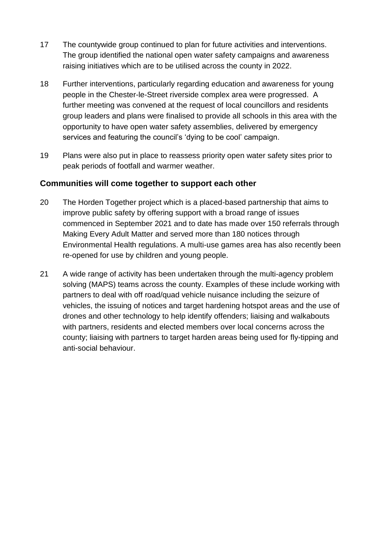- 17 The countywide group continued to plan for future activities and interventions. The group identified the national open water safety campaigns and awareness raising initiatives which are to be utilised across the county in 2022.
- 18 Further interventions, particularly regarding education and awareness for young people in the Chester-le-Street riverside complex area were progressed. A further meeting was convened at the request of local councillors and residents group leaders and plans were finalised to provide all schools in this area with the opportunity to have open water safety assemblies, delivered by emergency services and featuring the council's 'dying to be cool' campaign.
- 19 Plans were also put in place to reassess priority open water safety sites prior to peak periods of footfall and warmer weather.

#### **Communities will come together to support each other**

- 20 The Horden Together project which is a placed-based partnership that aims to improve public safety by offering support with a broad range of issues commenced in September 2021 and to date has made over 150 referrals through Making Every Adult Matter and served more than 180 notices through Environmental Health regulations. A multi-use games area has also recently been re-opened for use by children and young people.
- 21 A wide range of activity has been undertaken through the multi-agency problem solving (MAPS) teams across the county. Examples of these include working with partners to deal with off road/quad vehicle nuisance including the seizure of vehicles, the issuing of notices and target hardening hotspot areas and the use of drones and other technology to help identify offenders; liaising and walkabouts with partners, residents and elected members over local concerns across the county; liaising with partners to target harden areas being used for fly-tipping and anti-social behaviour.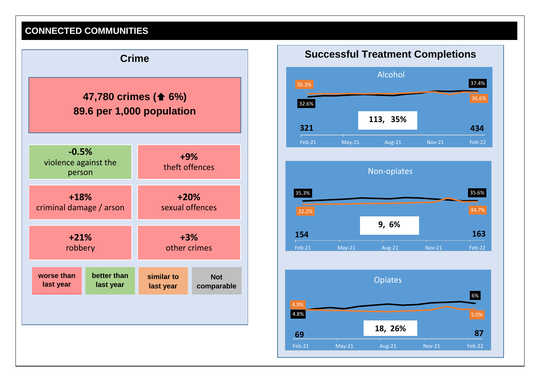# **CONNECTED COMMUNITIES**







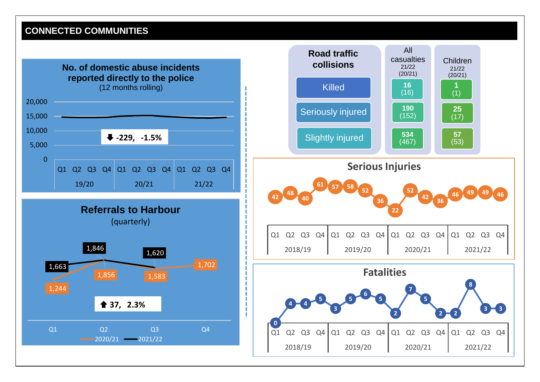# **CONNECTED COMMUNITIES**

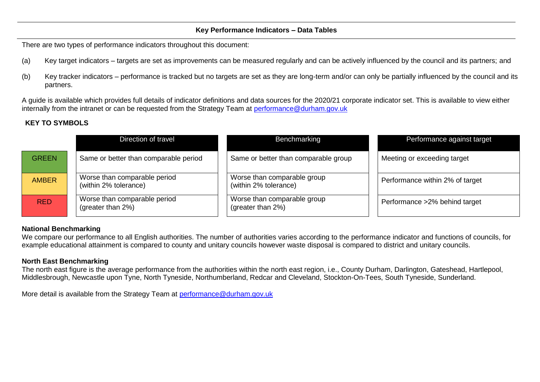#### **Key Performance Indicators – Data Tables**

There are two types of performance indicators throughout this document:

- (a) Key target indicators targets are set as improvements can be measured regularly and can be actively influenced by the council and its partners; and
- (b) Key tracker indicators performance is tracked but no targets are set as they are long-term and/or can only be partially influenced by the council and its partners.

A guide is available which provides full details of indicator definitions and data sources for the 2020/21 corporate indicator set. This is available to view either internally from the intranet or can be requested from the Strategy Team at [performance@durham.gov.uk](mailto:performance@durham.gov.uk)

#### **KEY TO SYMBOLS**

|              | Direction of travel                                   | Benchmarking                                         | Performance against target      |
|--------------|-------------------------------------------------------|------------------------------------------------------|---------------------------------|
| <b>GREEN</b> | Same or better than comparable period                 | Same or better than comparable group                 | Meeting or exceeding target     |
| <b>AMBER</b> | Worse than comparable period<br>(within 2% tolerance) | Worse than comparable group<br>(within 2% tolerance) | Performance within 2% of target |
| <b>RED</b>   | Worse than comparable period<br>(greater than 2%)     | Worse than comparable group<br>(greater than 2%)     | Performance > 2% behind target  |

#### **National Benchmarking**

We compare our performance to all English authorities. The number of authorities varies according to the performance indicator and functions of councils, for example educational attainment is compared to county and unitary councils however waste disposal is compared to district and unitary councils.

#### **North East Benchmarking**

The north east figure is the average performance from the authorities within the north east region, i.e., County Durham, Darlington, Gateshead, Hartlepool, Middlesbrough, Newcastle upon Tyne, North Tyneside, Northumberland, Redcar and Cleveland, Stockton-On-Tees, South Tyneside, Sunderland.

More detail is available from the Strategy Team at [performance@durham.gov.uk](mailto:performance@durham.gov.uk)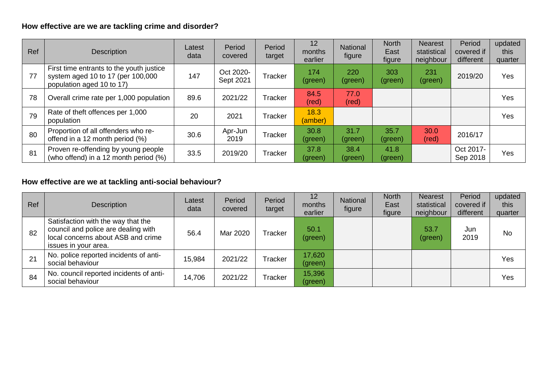# **How effective are we are tackling crime and disorder?**

| Ref | <b>Description</b>                                                                                         | Latest<br>data | Period<br>covered      | Period<br>target | 12<br>months<br>earlier | National<br>figure     | <b>North</b><br>East<br>figure | <b>Nearest</b><br>statistical<br>neighbour | Period<br>covered if<br>different | updated<br>this<br>quarter |
|-----|------------------------------------------------------------------------------------------------------------|----------------|------------------------|------------------|-------------------------|------------------------|--------------------------------|--------------------------------------------|-----------------------------------|----------------------------|
| 77  | First time entrants to the youth justice<br>system aged 10 to 17 (per 100,000<br>population aged 10 to 17) | 147            | Oct 2020-<br>Sept 2021 | Tracker          | 174<br>(green)          | 220<br>(green)         | 303<br>(green)                 | 231<br>(green)                             | 2019/20                           | Yes                        |
| 78  | Overall crime rate per 1,000 population                                                                    | 89.6           | 2021/22                | Tracker          | 84.5<br>(red)           | 77.0<br>$(\text{red})$ |                                |                                            |                                   | Yes                        |
| 79  | Rate of theft offences per 1,000<br>population                                                             | 20             | 2021                   | Tracker          | 18.3<br>(amber)         |                        |                                |                                            |                                   | Yes                        |
| 80  | Proportion of all offenders who re-<br>offend in a 12 month period (%)                                     | 30.6           | Apr-Jun<br>2019        | Tracker          | 30.8<br>(green)         | 31.7<br>(green)        | 35.7<br>(green)                | 30.0<br>(red)                              | 2016/17                           |                            |
| 81  | Proven re-offending by young people<br>(who offend) in a 12 month period (%)                               | 33.5           | 2019/20                | Tracker          | 37.8<br>(green)         | 38.4<br>(green)        | 41.8<br>(green)                |                                            | Oct 2017-<br>Sep 2018             | Yes                        |

# **How effective are we at tackling anti-social behaviour?**

| Ref | Description                                                                                                                             | Latest<br>data | Period<br>covered | Period<br>target | 12<br>months<br>earlier | National<br>figure | <b>North</b><br>East<br>figure | <b>Nearest</b><br>statistical<br>neighbour | Period<br>covered if<br>different | updated<br>this<br>quarter |
|-----|-----------------------------------------------------------------------------------------------------------------------------------------|----------------|-------------------|------------------|-------------------------|--------------------|--------------------------------|--------------------------------------------|-----------------------------------|----------------------------|
| 82  | Satisfaction with the way that the<br>council and police are dealing with<br>local concerns about ASB and crime<br>issues in your area. | 56.4           | Mar 2020          | Tracker          | 50.1<br>(green)         |                    |                                | 53.7<br>(green)                            | Jun<br>2019                       | <b>No</b>                  |
| 21  | No. police reported incidents of anti-<br>social behaviour                                                                              | 15,984         | 2021/22           | Tracker          | 17,620<br>(green)       |                    |                                |                                            |                                   | Yes                        |
| 84  | No. council reported incidents of anti-<br>social behaviour                                                                             | 14,706         | 2021/22           | Tracker          | 15,396<br>(green)       |                    |                                |                                            |                                   | Yes                        |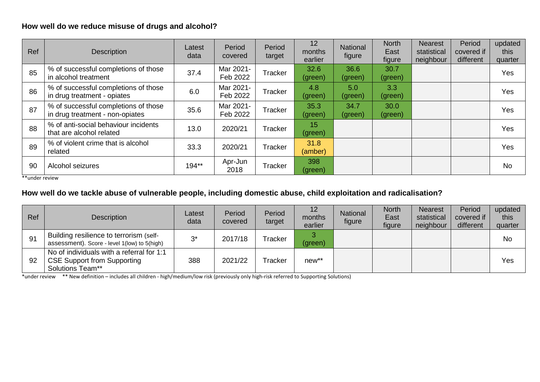#### **How well do we reduce misuse of drugs and alcohol?**

| <b>Ref</b> | <b>Description</b>                                                      | Latest<br>data | Period<br>covered     | Period<br>target | 12<br>months<br>earlier | National<br>figure | <b>North</b><br>East<br>figure | <b>Nearest</b><br>statistical<br>neighbour | Period<br>covered if<br>different | updated<br>this<br>quarter |
|------------|-------------------------------------------------------------------------|----------------|-----------------------|------------------|-------------------------|--------------------|--------------------------------|--------------------------------------------|-----------------------------------|----------------------------|
| 85         | % of successful completions of those<br>in alcohol treatment            | 37.4           | Mar 2021-<br>Feb 2022 | Tracker          | 32.6<br>(green)         | 36.6<br>(green)    | 30.7<br>(green)                |                                            |                                   | Yes                        |
| 86         | % of successful completions of those<br>in drug treatment - opiates     | 6.0            | Mar 2021-<br>Feb 2022 | Tracker          | 4.8<br>(green)          | 5.0<br>(green)     | 3.3<br>(green)                 |                                            |                                   | Yes                        |
| 87         | % of successful completions of those<br>in drug treatment - non-opiates | 35.6           | Mar 2021-<br>Feb 2022 | Tracker          | 35.3<br>(green)         | 34.7<br>(green)    | 30.0<br>(green)                |                                            |                                   | Yes                        |
| 88         | % of anti-social behaviour incidents<br>that are alcohol related        | 13.0           | 2020/21               | Tracker          | 15<br>(green)           |                    |                                |                                            |                                   | Yes                        |
| 89         | % of violent crime that is alcohol<br>related                           | 33.3           | 2020/21               | Tracker          | 31.8<br>(amber)         |                    |                                |                                            |                                   | Yes                        |
| 90         | Alcohol seizures                                                        | 194**          | Apr-Jun<br>2018       | Tracker          | 398<br>(green)          |                    |                                |                                            |                                   | <b>No</b>                  |

\*\*under review

#### **How well do we tackle abuse of vulnerable people, including domestic abuse, child exploitation and radicalisation?**

| Ref | <b>Description</b>                                                                                         | Latest<br>data | Period<br>covered | Period<br>target | 12<br>months<br>earlier | <b>National</b><br>figure | <b>North</b><br>East<br>figure | <b>Nearest</b><br>statistical<br>neighbour | Period<br>covered if<br>different | updated<br>this<br>quarter |
|-----|------------------------------------------------------------------------------------------------------------|----------------|-------------------|------------------|-------------------------|---------------------------|--------------------------------|--------------------------------------------|-----------------------------------|----------------------------|
| 91  | Building resilience to terrorism (self-<br>assessment). Score - level 1(low) to 5(high)                    | n*             | 2017/18           | Tracker          | (green)                 |                           |                                |                                            |                                   | <b>No</b>                  |
| 92  | No of individuals with a referral for 1:1<br><b>CSE Support from Supporting</b><br><b>Solutions Team**</b> | 388            | 2021/22           | Tracker          | $new**$                 |                           |                                |                                            |                                   | Yes                        |

\*under review \*\* New definition – includes all children - high/medium/low risk (previously only high-risk referred to Supporting Solutions)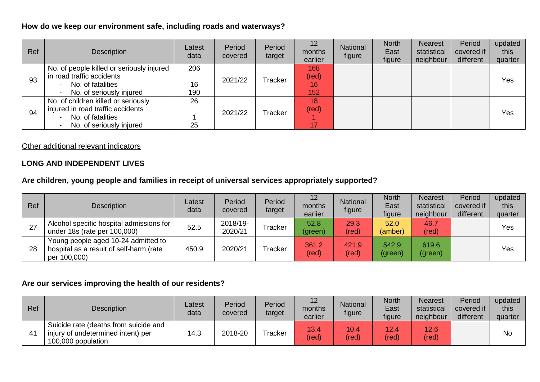#### **How do we keep our environment safe, including roads and waterways?**

| <b>Ref</b> | <b>Description</b>                                                                                                        | Latest<br>data | Period<br>covered | Period<br>target | 12<br>months<br>earlier     | National<br>figure | <b>North</b><br>East<br>figure | <b>Nearest</b><br>statistical<br>neighbour | Period<br>covered if<br>different | updated<br>this<br>quarter |
|------------|---------------------------------------------------------------------------------------------------------------------------|----------------|-------------------|------------------|-----------------------------|--------------------|--------------------------------|--------------------------------------------|-----------------------------------|----------------------------|
| 93         | No. of people killed or seriously injured<br>in road traffic accidents<br>No. of fatalities                               | 206<br>16      | 2021/22           | Tracker          | 168<br>$(\text{red})$<br>16 |                    |                                |                                            |                                   | Yes                        |
|            | No. of seriously injured                                                                                                  | 190            |                   |                  | 152                         |                    |                                |                                            |                                   |                            |
| 94         | No. of children killed or seriously<br>injured in road traffic accidents<br>No. of fatalities<br>No. of seriously injured | 26<br>25       | 2021/22           | Tracker          | 18<br>(red)<br>17           |                    |                                |                                            |                                   | Yes                        |

#### Other additional relevant indicators

#### **LONG AND INDEPENDENT LIVES**

#### **Are children, young people and families in receipt of universal services appropriately supported?**

| Ref | <b>Description</b>                                                                             | Latest<br>data | Period<br>covered   | Period<br>target | 12<br>months<br>earlier | National<br>figure     | <b>North</b><br>East<br>figure | <b>Nearest</b><br>statistical<br>neighbour | Period<br>covered if<br>different | updated<br>this<br>quarter |
|-----|------------------------------------------------------------------------------------------------|----------------|---------------------|------------------|-------------------------|------------------------|--------------------------------|--------------------------------------------|-----------------------------------|----------------------------|
| 27  | Alcohol specific hospital admissions for<br>under 18s (rate per 100,000)                       | 52.5           | 2018/19-<br>2020/21 | Tracker          | 52.8<br>(green)         | 29.3<br>$(\text{red})$ | 52.0<br>(amber)                | 46.7<br>(red)                              |                                   | Yes                        |
| 28  | Young people aged 10-24 admitted to<br>hospital as a result of self-harm (rate<br>per 100,000) | 450.9          | 2020/21             | Tracker          | 361.2<br>(red)          | 421.9<br>(red)         | 542.9<br>(green)               | 619.6<br>(green)                           |                                   | Yes                        |

#### **Are our services improving the health of our residents?**

| Ref            | <b>Description</b>                                                                                | Latest<br>data | Period<br>covered | Period<br>target | 12<br>months<br>earlier | <b>National</b><br>figure | <b>North</b><br>East<br>figure | <b>Nearest</b><br>statistical<br>neighbour | Period<br>covered if<br>different | updated<br>this<br>quarter |
|----------------|---------------------------------------------------------------------------------------------------|----------------|-------------------|------------------|-------------------------|---------------------------|--------------------------------|--------------------------------------------|-----------------------------------|----------------------------|
| 4 <sup>1</sup> | Suicide rate (deaths from suicide and<br>injury of undetermined intent) per<br>100,000 population | 14.3           | 2018-20           | Tracker          | 13.4<br>(red)           | 10.4<br>(red)             | 12.4<br>(red)                  | 12.6<br>(red)                              |                                   | No                         |